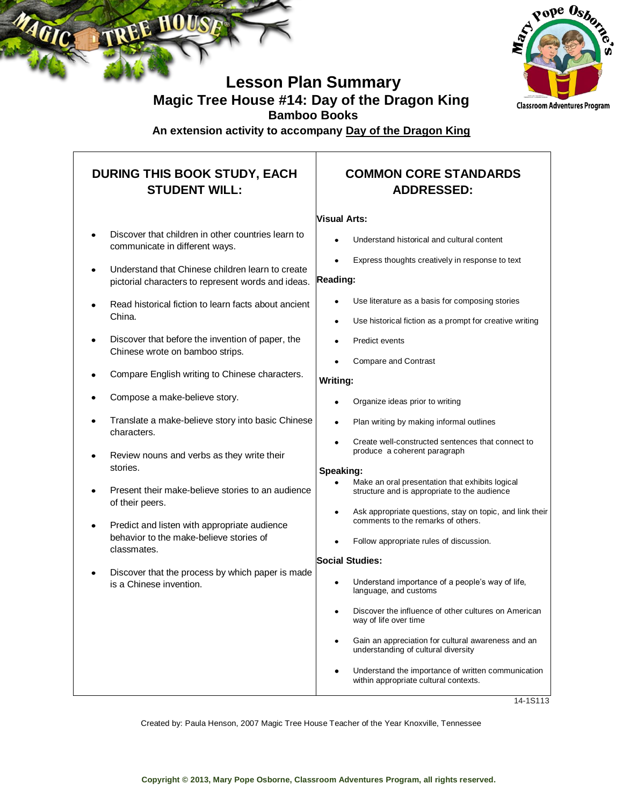



### **Lesson Plan Summary Magic Tree House #14: Day of the Dragon King Bamboo Books**

**An extension activity to accompany Day of the Dragon King**

### **DURING THIS BOOK STUDY, EACH STUDENT WILL:**

- Discover that children in other countries learn to communicate in different ways.
- Understand that Chinese children learn to create pictorial characters to represent words and ideas.
- Read historical fiction to learn facts about ancient China.
- Discover that before the invention of paper, the Chinese wrote on bamboo strips.
- Compare English writing to Chinese characters.
- Compose a make-believe story.
- Translate a make-believe story into basic Chinese characters.
- Review nouns and verbs as they write their stories.
- Present their make-believe stories to an audience of their peers.
- Predict and listen with appropriate audience behavior to the make-believe stories of classmates.
- Discover that the process by which paper is made is a Chinese invention.

### **COMMON CORE STANDARDS ADDRESSED:**

#### **Visual Arts:**

- Understand historical and cultural content
- Express thoughts creatively in response to text

#### **Reading:**

- Use literature as a basis for composing stories
- Use historical fiction as a prompt for creative writing
- Predict events
- Compare and Contrast

#### **Writing:**

- Organize ideas prior to writing
- Plan writing by making informal outlines
- Create well-constructed sentences that connect to produce a coherent paragraph

#### **Speaking:**

- Make an oral presentation that exhibits logical structure and is appropriate to the audience
- Ask appropriate questions, stay on topic, and link their comments to the remarks of others.
- Follow appropriate rules of discussion.

#### **Social Studies:**

- Understand importance of a people's way of life, language, and customs
- Discover the influence of other cultures on American way of life over time
- Gain an appreciation for cultural awareness and an understanding of cultural diversity
- Understand the importance of written communication within appropriate cultural contexts.

14-1S113

Created by: Paula Henson, 2007 Magic Tree House Teacher of the Year Knoxville, Tennessee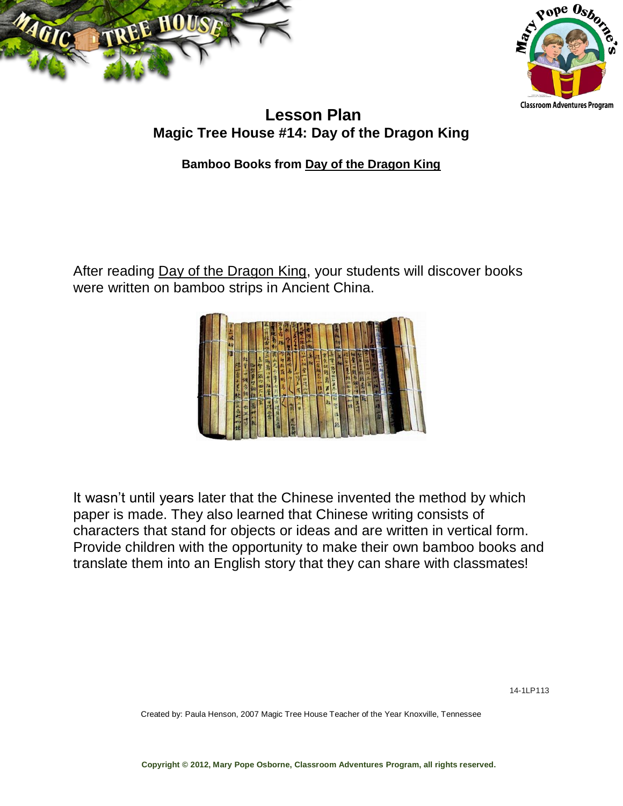



### **Lesson Plan Magic Tree House #14: Day of the Dragon King**

**Bamboo Books from Day of the Dragon King**

After reading Day of the Dragon King, your students will discover books were written on bamboo strips in Ancient China.



It wasn't until years later that the Chinese invented the method by which paper is made. They also learned that Chinese writing consists of characters that stand for objects or ideas and are written in vertical form. Provide children with the opportunity to make their own bamboo books and translate them into an English story that they can share with classmates!

Created by: Paula Henson, 2007 Magic Tree House Teacher of the Year Knoxville, Tennessee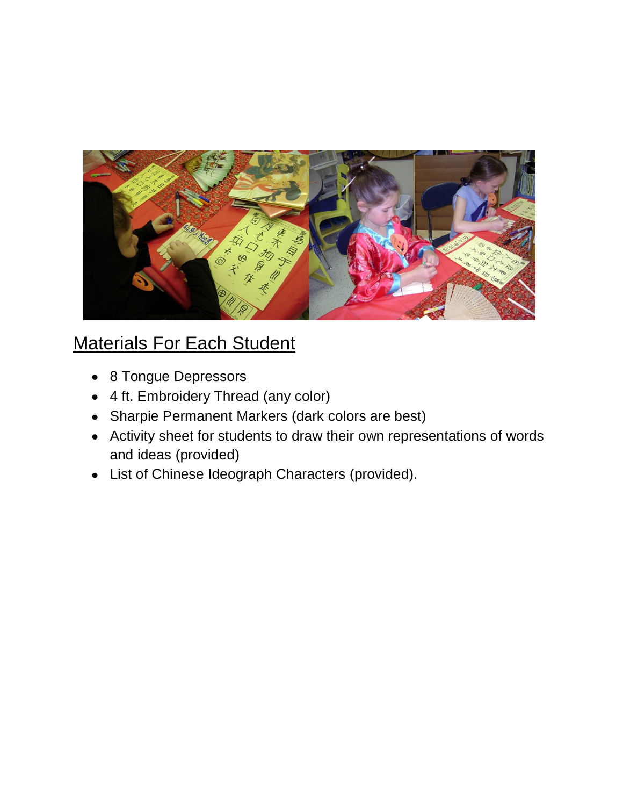

# Materials For Each Student

- 8 Tongue Depressors
- 4 ft. Embroidery Thread (any color)
- Sharpie Permanent Markers (dark colors are best)
- Activity sheet for students to draw their own representations of words and ideas (provided)
- List of Chinese Ideograph Characters (provided). $\bullet$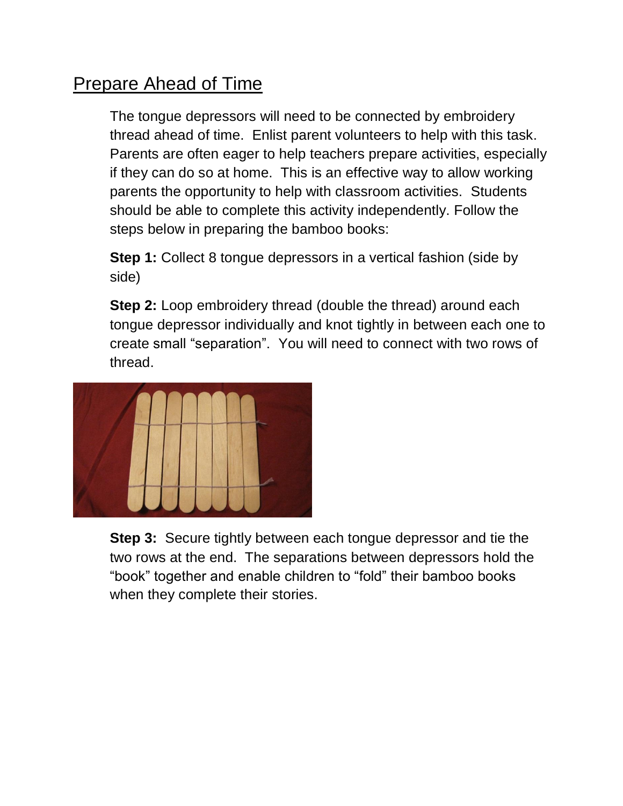# Prepare Ahead of Time

The tongue depressors will need to be connected by embroidery thread ahead of time. Enlist parent volunteers to help with this task. Parents are often eager to help teachers prepare activities, especially if they can do so at home. This is an effective way to allow working parents the opportunity to help with classroom activities. Students should be able to complete this activity independently. Follow the steps below in preparing the bamboo books:

**Step 1:** Collect 8 tongue depressors in a vertical fashion (side by side)

**Step 2:** Loop embroidery thread (double the thread) around each tongue depressor individually and knot tightly in between each one to create small "separation". You will need to connect with two rows of thread.



**Step 3:** Secure tightly between each tongue depressor and tie the two rows at the end. The separations between depressors hold the "book" together and enable children to "fold" their bamboo books when they complete their stories.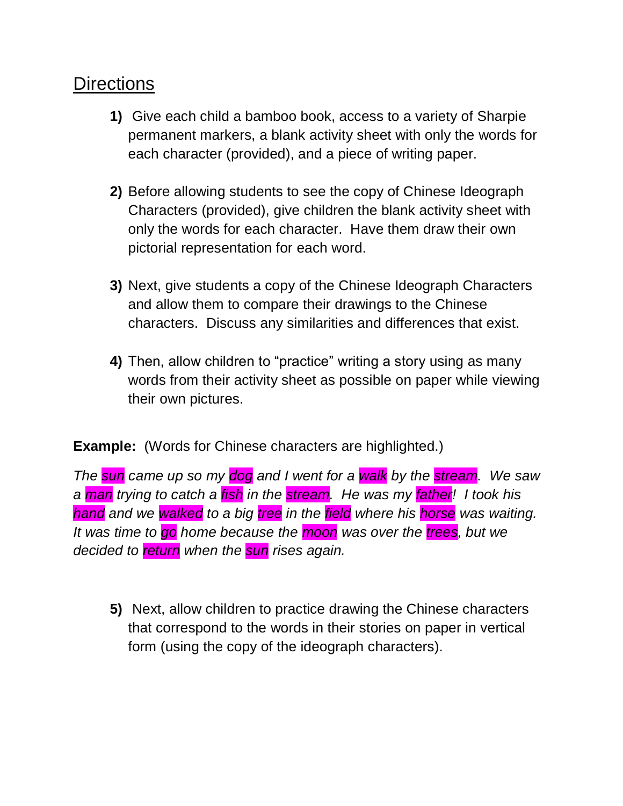## **Directions**

- **1)** Give each child a bamboo book, access to a variety of Sharpie permanent markers, a blank activity sheet with only the words for each character (provided), and a piece of writing paper.
- **2)** Before allowing students to see the copy of Chinese Ideograph Characters (provided), give children the blank activity sheet with only the words for each character. Have them draw their own pictorial representation for each word.
- **3)** Next, give students a copy of the Chinese Ideograph Characters and allow them to compare their drawings to the Chinese characters. Discuss any similarities and differences that exist.
- **4)** Then, allow children to "practice" writing a story using as many words from their activity sheet as possible on paper while viewing their own pictures.

### **Example:** (Words for Chinese characters are highlighted.)

*The sun came up so my dog and I went for a walk by the stream. We saw a man trying to catch a fish in the stream. He was my father! I took his hand and we walked to a big tree in the field where his horse was waiting. It was time to go home because the moon was over the trees, but we decided to return when the sun rises again.*

**5)** Next, allow children to practice drawing the Chinese characters that correspond to the words in their stories on paper in vertical form (using the copy of the ideograph characters).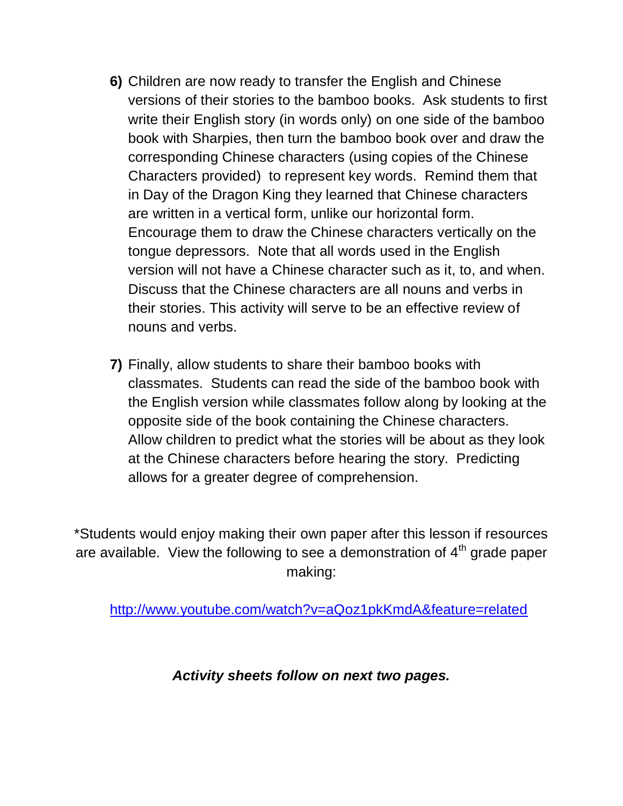- **6)** Children are now ready to transfer the English and Chinese versions of their stories to the bamboo books. Ask students to first write their English story (in words only) on one side of the bamboo book with Sharpies, then turn the bamboo book over and draw the corresponding Chinese characters (using copies of the Chinese Characters provided) to represent key words. Remind them that in Day of the Dragon King they learned that Chinese characters are written in a vertical form, unlike our horizontal form. Encourage them to draw the Chinese characters vertically on the tongue depressors. Note that all words used in the English version will not have a Chinese character such as it, to, and when. Discuss that the Chinese characters are all nouns and verbs in their stories. This activity will serve to be an effective review of nouns and verbs.
- **7)** Finally, allow students to share their bamboo books with classmates. Students can read the side of the bamboo book with the English version while classmates follow along by looking at the opposite side of the book containing the Chinese characters. Allow children to predict what the stories will be about as they look at the Chinese characters before hearing the story. Predicting allows for a greater degree of comprehension.

\*Students would enjoy making their own paper after this lesson if resources are available. View the following to see a demonstration of  $4<sup>th</sup>$  grade paper making:

<http://www.youtube.com/watch?v=aQoz1pkKmdA&feature=related>

*Activity sheets follow on next two pages.*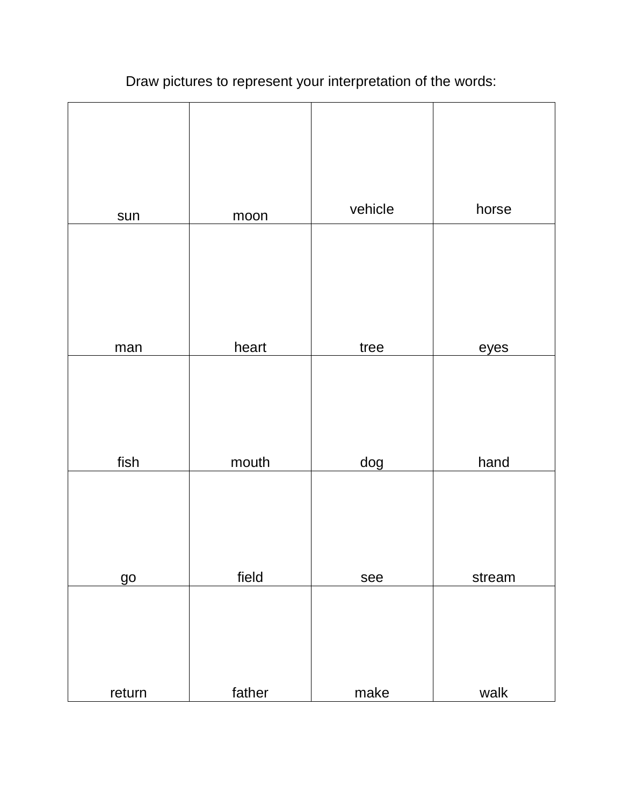# Draw pictures to represent your interpretation of the words:

| sun       | moon   | vehicle | horse  |
|-----------|--------|---------|--------|
|           |        |         |        |
|           |        |         |        |
| man       | heart  | tree    | eyes   |
|           |        |         |        |
|           |        |         |        |
| fish      | mouth  | dog     | hand   |
|           |        |         |        |
|           |        |         |        |
| <u>go</u> | field  | see     | stream |
|           |        |         |        |
|           |        |         |        |
| return    | father | make    | walk   |